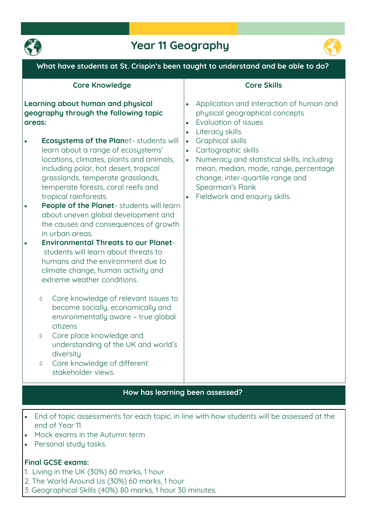

## **Year 11 Geography**



**What have students at St. Crispin's been taught to understand and be able to do?**

#### **Core Knowledge**

#### **Learning about human and physical geography through the following topic areas:**

- **Ecosystems of the Planet- students will learn about a range of ecosystems' locations, climates, plants and animals, including polar, hot desert, tropical grasslands, temperate grasslands, temperate forests, coral reefs and tropical rainforests.**
- **People of the Planet- students will learn about uneven global development and the causes and consequences of growth in urban areas.**
- **Environmental Threats to our Planetstudents will learn about threats to humans and the environment due to climate change, human activity and extreme weather conditions.**
	- **Core knowledge of relevant issues to become socially, economically and environmentally aware – true global citizens**
	- **Core place knowledge and understanding of the UK and world's diversity**
	- **Core knowledge of different stakeholder views.**

#### **Core Skills**

- **Application and interaction of human and physical geographical concepts**
- **Evaluation of issues**
- **Literacy skills**
- **Graphical skills**
- **Cartographic skills**
- **Numeracy and statistical skills, including mean, median, mode, range, percentage change, inter-quartile range and Spearman's Rank**
- **Fieldwork and enquiry skills.**

#### **How has learning been assessed?**

- **End of topic assessments for each topic, in line with how students will be assessed at the end of Year 11**
- **Mock exams in the Autumn term**
- **Personal study tasks.**

#### **Final GCSE exams:**

- **1. Living in the UK (30%) 60 marks, 1 hour**
- **2. The World Around Us (30%) 60 marks, 1 hour**
- **3. Geographical Skills (40%) 80 marks, 1 hour 30 minutes.**